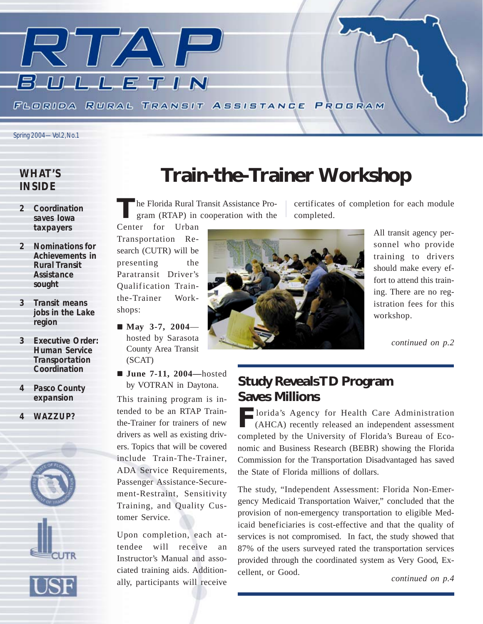

#### *WHAT'S INSIDE*

- *2 Coordination saves Iowa taxpayers*
- *2 Nominations for Achievements in Rural Transit Assistance sought*
- *3 Transit means jobs in the Lake region*
- *3 Executive Order: Human Service Transportation Coordination*
- *4 Pasco County expansion*
- *4 WAZZUP?*



### **Train-the-Trainer Workshop**

**T**he Florida Rural Transit Assistance Program (RTAP) in cooperation with the

Center for Urban Transportation Research (CUTR) will be presenting the Paratransit Driver's Qualification Trainthe-Trainer Workshops:

- May 3-7, 2004 hosted by Sarasota County Area Transit (SCAT)
- ! **June 7-11, 2004—**hosted by VOTRAN in Daytona.

This training program is intended to be an RTAP Trainthe-Trainer for trainers of new drivers as well as existing drivers. Topics that will be covered include Train-The-Trainer, ADA Service Requirements, Passenger Assistance-Securement-Restraint, Sensitivity Training, and Quality Customer Service.

Upon completion, each attendee will receive an Instructor's Manual and associated training aids. Additionally, participants will receive



certificates of completion for each module completed.

> All transit agency personnel who provide training to drivers should make every effort to attend this training. There are no registration fees for this workshop.

> > *continued on p.2*

### **Study Reveals TD Program Saves Millions**

**F**lorida's Agency for Health Care Administration (AHCA) recently released an independent assessment completed by the University of Florida's Bureau of Economic and Business Research (BEBR) showing the Florida Commission for the Transportation Disadvantaged has saved the State of Florida millions of dollars.

The study, "Independent Assessment: Florida Non-Emergency Medicaid Transportation Waiver," concluded that the provision of non-emergency transportation to eligible Medicaid beneficiaries is cost-effective and that the quality of services is not compromised. In fact, the study showed that 87% of the users surveyed rated the transportation services provided through the coordinated system as Very Good, Excellent, or Good.

*continued on p.4*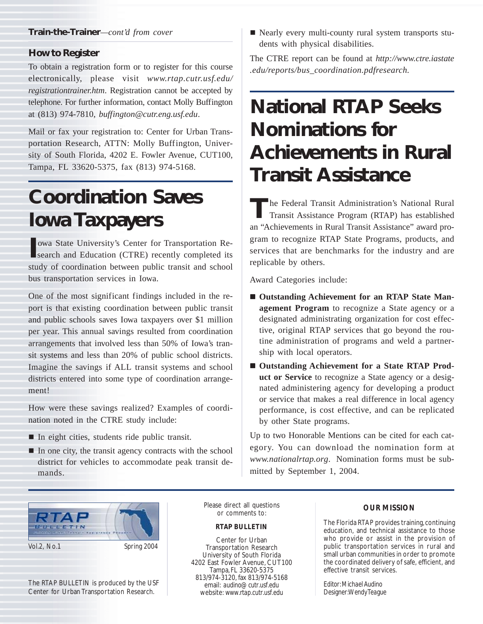#### **How to Register**

To obtain a registration form or to register for this course electronically, please visit *www.rtap.cutr.usf.edu/ registrationtrainer.htm*. Registration cannot be accepted by telephone. For further information, contact Molly Buffington at (813) 974-7810, *buffington@cutr.eng.usf.edu*.

Mail or fax your registration to: Center for Urban Transportation Research, ATTN: Molly Buffington, University of South Florida, 4202 E. Fowler Avenue, CUT100, Tampa, FL 33620-5375, fax (813) 974-5168.

### **Coordination Saves Iowa Taxpayers**

**IVEN STREET SEARCH AND IN STREET SEARCH AND RESEARCH AND EXERCISE AND THE SEARCH AND THE SEARCH AND THE SEARCH AND THE SEARCH AND THE SEARCH AND THE SEARCH AND THE SEARCH AND THE SEARCH AND THE SEARCH AND THE SEARCH AND T** owa State University's Center for Transportation Restudy of coordination between public transit and school bus transportation services in Iowa.

One of the most significant findings included in the report is that existing coordination between public transit and public schools saves Iowa taxpayers over \$1 million per year. This annual savings resulted from coordination arrangements that involved less than 50% of Iowa's transit systems and less than 20% of public school districts. Imagine the savings if ALL transit systems and school districts entered into some type of coordination arrangement!

How were these savings realized? Examples of coordination noted in the CTRE study include:

- $\blacksquare$  In eight cities, students ride public transit.
- $\blacksquare$  In one city, the transit agency contracts with the school district for vehicles to accommodate peak transit demands.

! Nearly every multi-county rural system transports students with physical disabilities.

The CTRE report can be found at *http://www.ctre.iastate .edu/reports/bus\_coordination.pdfresearch.*

## **National RTAP Seeks Nominations for Achievements in Rural Transit Assistance**

**T**he Federal Transit Administration's National Rural Transit Assistance Program (RTAP) has established an "Achievements in Rural Transit Assistance" award program to recognize RTAP State Programs, products, and services that are benchmarks for the industry and are replicable by others.

Award Categories include:

- Outstanding Achievement for an RTAP State Man**agement Program** to recognize a State agency or a designated administrating organization for cost effective, original RTAP services that go beyond the routine administration of programs and weld a partnership with local operators.
- Outstanding Achievement for a State RTAP Prod**uct or Service** to recognize a State agency or a designated administering agency for developing a product or service that makes a real difference in local agency performance, is cost effective, and can be replicated by other State programs.

Up to two Honorable Mentions can be cited for each category. You can download the nomination form at *www.nationalrtap.org*. Nomination forms must be submitted by September 1, 2004.



The RTAP BULLETIN is produced by the USF Center for Urban Transportation Research.

Please direct all questions or comments to:

#### *RTAP BULLETIN*

Center for Urban Transportation Research University of South Florida 4202 East Fowler Avenue, CUT100 Tampa, FL 33620-5375 813/974-3120, fax 813/974-5168 email: *audino@cutr.usf.edu* website: *www.rtap.cutr.usf.edu*

#### *OUR MISSION*

The Florida RTAP provides training, continuing education, and technical assistance to those who provide or assist in the provision of public transportation services in rural and small urban communities in order to promote the coordinated delivery of safe, efficient, and effective transit services.

*Editor: Michael Audino Designer: Wendy Teague*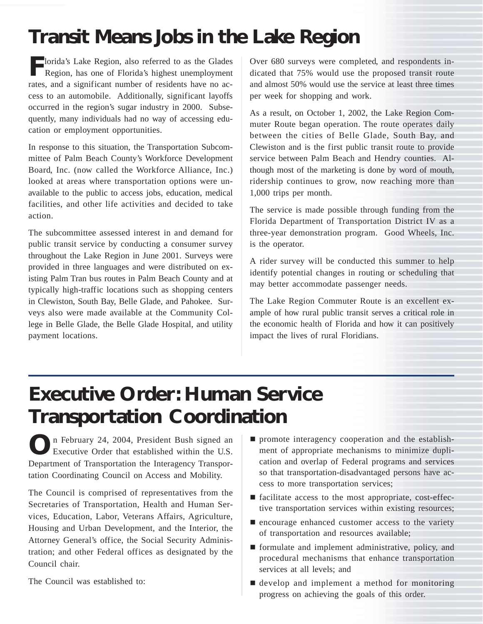### **Transit Means Jobs in the Lake Region**

**F**lorida's Lake Region, also referred to as the Glades<br>Region, has one of Florida's highest unemployment Region, has one of Florida's highest unemployment rates, and a significant number of residents have no access to an automobile. Additionally, significant layoffs occurred in the region's sugar industry in 2000. Subsequently, many individuals had no way of accessing education or employment opportunities.

In response to this situation, the Transportation Subcommittee of Palm Beach County's Workforce Development Board, Inc. (now called the Workforce Alliance, Inc.) looked at areas where transportation options were unavailable to the public to access jobs, education, medical facilities, and other life activities and decided to take action.

The subcommittee assessed interest in and demand for public transit service by conducting a consumer survey throughout the Lake Region in June 2001. Surveys were provided in three languages and were distributed on existing Palm Tran bus routes in Palm Beach County and at typically high-traffic locations such as shopping centers in Clewiston, South Bay, Belle Glade, and Pahokee. Surveys also were made available at the Community College in Belle Glade, the Belle Glade Hospital, and utility payment locations.

Over 680 surveys were completed, and respondents indicated that 75% would use the proposed transit route and almost 50% would use the service at least three times per week for shopping and work.

As a result, on October 1, 2002, the Lake Region Commuter Route began operation. The route operates daily between the cities of Belle Glade, South Bay, and Clewiston and is the first public transit route to provide service between Palm Beach and Hendry counties. Although most of the marketing is done by word of mouth, ridership continues to grow, now reaching more than 1,000 trips per month.

The service is made possible through funding from the Florida Department of Transportation District IV as a three-year demonstration program. Good Wheels, Inc. is the operator.

A rider survey will be conducted this summer to help identify potential changes in routing or scheduling that may better accommodate passenger needs.

The Lake Region Commuter Route is an excellent example of how rural public transit serves a critical role in the economic health of Florida and how it can positively impact the lives of rural Floridians.

### **Executive Order: Human Service Transportation Coordination**

**O**n February 24, 2004, President Bush signed an Executive Order that established within the U.S. Department of Transportation the Interagency Transportation Coordinating Council on Access and Mobility.

The Council is comprised of representatives from the Secretaries of Transportation, Health and Human Services, Education, Labor, Veterans Affairs, Agriculture, Housing and Urban Development, and the Interior, the Attorney General's office, the Social Security Administration; and other Federal offices as designated by the Council chair.

The Council was established to:

- $\blacksquare$  promote interagency cooperation and the establishment of appropriate mechanisms to minimize duplication and overlap of Federal programs and services so that transportation-disadvantaged persons have access to more transportation services;
- ! facilitate access to the most appropriate, cost-effective transportation services within existing resources;
- $\blacksquare$  encourage enhanced customer access to the variety of transportation and resources available;
- ! formulate and implement administrative, policy, and procedural mechanisms that enhance transportation services at all levels; and
- ! develop and implement a method for monitoring progress on achieving the goals of this order.